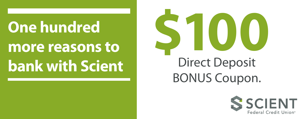## **One hundred**

## **more reasons to bank with Scient**